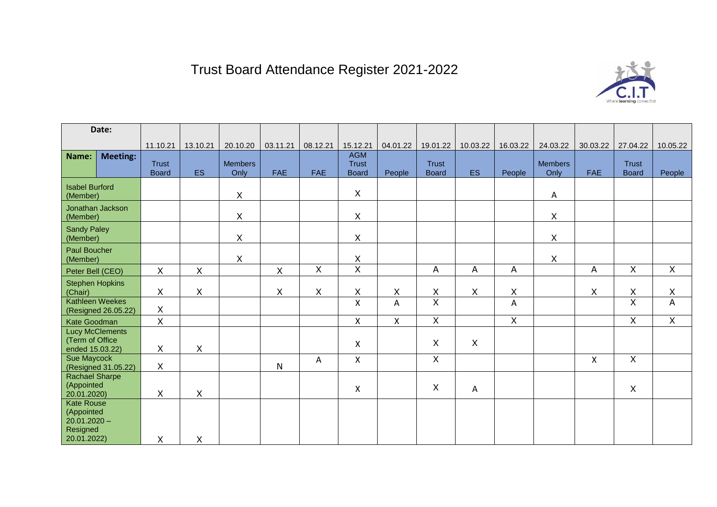## Trust Board Attendance Register 2021-2022



| Date:                                                                        |                 |                              |              |                        |              |                    |                                            |                    |                              |           |                |                        |            |                              |                |
|------------------------------------------------------------------------------|-----------------|------------------------------|--------------|------------------------|--------------|--------------------|--------------------------------------------|--------------------|------------------------------|-----------|----------------|------------------------|------------|------------------------------|----------------|
|                                                                              |                 | 11.10.21                     | 13.10.21     | 20.10.20               | 03.11.21     | 08.12.21           | 15.12.21                                   | 04.01.22           | 19.01.22                     | 10.03.22  | 16.03.22       | 24.03.22               | 30.03.22   | 27.04.22                     | 10.05.22       |
| Name:                                                                        | <b>Meeting:</b> | <b>Trust</b><br><b>Board</b> | <b>ES</b>    | <b>Members</b><br>Only | <b>FAE</b>   | <b>FAE</b>         | <b>AGM</b><br><b>Trust</b><br><b>Board</b> | People             | <b>Trust</b><br><b>Board</b> | <b>ES</b> | People         | <b>Members</b><br>Only | <b>FAE</b> | <b>Trust</b><br><b>Board</b> | People         |
| <b>Isabel Burford</b><br>(Member)                                            |                 |                              |              | $\mathsf X$            |              |                    | X                                          |                    |                              |           |                | Α                      |            |                              |                |
| Jonathan Jackson<br>(Member)                                                 |                 |                              |              | X                      |              |                    | X                                          |                    |                              |           |                | X                      |            |                              |                |
| <b>Sandy Paley</b><br>(Member)                                               |                 |                              |              | $\mathsf{X}$           |              |                    | X                                          |                    |                              |           |                | $\pmb{\times}$         |            |                              |                |
| <b>Paul Boucher</b><br>(Member)                                              |                 |                              |              | X                      |              |                    | X                                          |                    |                              |           |                | X                      |            |                              |                |
| Peter Bell (CEO)                                                             |                 | $\pmb{\times}$               | $\mathsf{X}$ |                        | $\mathsf X$  | X                  | $\overline{X}$                             |                    | A                            | A         | $\overline{A}$ |                        | A          | $\overline{X}$               | $\mathsf{X}$   |
| <b>Stephen Hopkins</b><br>(Chair)                                            |                 | X                            | Χ            |                        | $\mathsf X$  | $\pmb{\mathsf{X}}$ | Χ                                          | $\pmb{\mathsf{X}}$ | $\mathsf X$                  | X         | $\sf X$        |                        | X          | $\mathsf X$                  | $\mathsf X$    |
| Kathleen Weekes<br>(Resigned 26.05.22)                                       |                 | $\pmb{\times}$               |              |                        |              |                    | X                                          | A                  | $\overline{X}$               |           | A              |                        |            | $\overline{\mathsf{x}}$      | $\overline{A}$ |
| Kate Goodman                                                                 |                 | $\sf X$                      |              |                        |              |                    | $\mathsf{X}$                               | $\pmb{\mathsf{X}}$ | $\overline{X}$               |           | $\overline{X}$ |                        |            | $\overline{X}$               | $\overline{X}$ |
| <b>Lucy McClements</b><br>(Term of Office<br>ended 15.03.22)                 |                 | X                            | X            |                        |              |                    | X                                          |                    | X                            | X         |                |                        |            |                              |                |
| <b>Sue Maycock</b><br>(Resigned 31.05.22)                                    |                 | X                            |              |                        | $\mathsf{N}$ | Α                  | X                                          |                    | $\mathsf{X}$                 |           |                |                        | X          | $\mathsf{X}$                 |                |
| <b>Rachael Sharpe</b><br>(Appointed<br>20.01.2020)                           |                 | $\times$                     | $\mathsf X$  |                        |              |                    | X                                          |                    | $\boldsymbol{\mathsf{X}}$    | A         |                |                        |            | Χ                            |                |
| <b>Kate Rouse</b><br>(Appointed<br>$20.01.2020 -$<br>Resigned<br>20.01.2022) |                 | X                            | Χ            |                        |              |                    |                                            |                    |                              |           |                |                        |            |                              |                |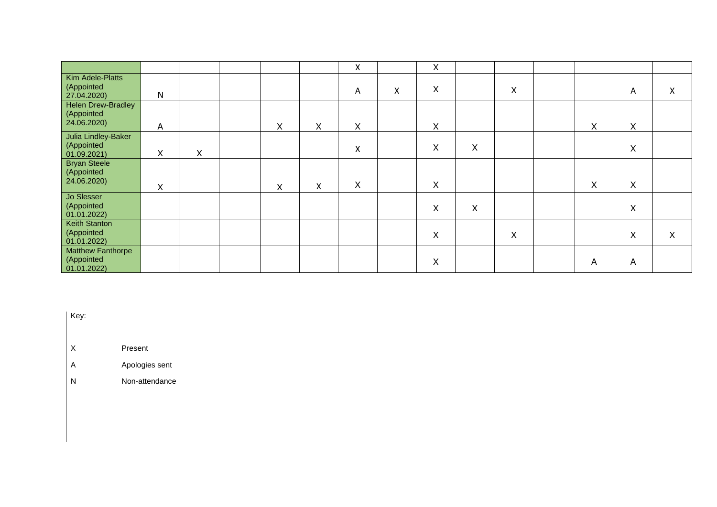|                                                        |   |   |              |   | X            |   | X |   |   |   |          |   |
|--------------------------------------------------------|---|---|--------------|---|--------------|---|---|---|---|---|----------|---|
| Kim Adele-Platts<br>(Appointed<br>27.04.2020)          | N |   |              |   | A            | Χ | X |   | X |   | A        | X |
| <b>Helen Drew-Bradley</b><br>(Appointed<br>24.06.2020) | A |   | $\mathsf{X}$ | Χ | X            |   | X |   |   | X | X        |   |
| Julia Lindley-Baker<br>(Appointed<br>  01.09.2021      | X | X |              |   | X            |   | X | X |   |   | X        |   |
| <b>Bryan Steele</b><br>(Appointed<br>24.06.2020)       | X |   | X            | X | $\mathsf{X}$ |   | X |   |   | X | $\times$ |   |
| Jo Slesser<br>(Appointed<br>  01.01.2022               |   |   |              |   |              |   | X | X |   |   | X        |   |
| <b>Keith Stanton</b><br>Appointed<br>  01.01.2022      |   |   |              |   |              |   | X |   | X |   | X        | X |
| <b>Matthew Fanthorpe</b><br>(Appointed<br>01.01.2022   |   |   |              |   |              |   | X |   |   | A | A        |   |

Key:

X Present

A Apologies sent

N Non-attendance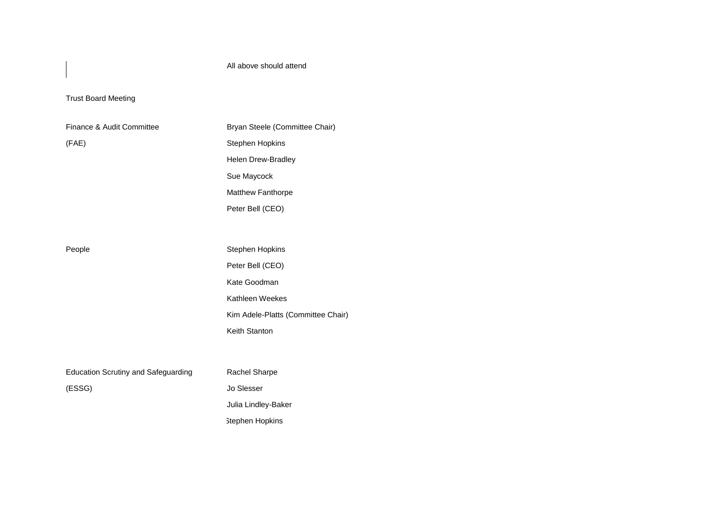All above should attend

## Trust Board Meeting

| Finance & Audit Committee                  | Bryan Steele (Committee Chair)     |  |  |  |  |  |
|--------------------------------------------|------------------------------------|--|--|--|--|--|
| (FAE)                                      | Stephen Hopkins                    |  |  |  |  |  |
|                                            | Helen Drew-Bradley                 |  |  |  |  |  |
|                                            | Sue Maycock                        |  |  |  |  |  |
|                                            | <b>Matthew Fanthorpe</b>           |  |  |  |  |  |
|                                            | Peter Bell (CEO)                   |  |  |  |  |  |
|                                            |                                    |  |  |  |  |  |
| People                                     | Stephen Hopkins                    |  |  |  |  |  |
|                                            | Peter Bell (CEO)                   |  |  |  |  |  |
|                                            | Kate Goodman                       |  |  |  |  |  |
|                                            | Kathleen Weekes                    |  |  |  |  |  |
|                                            | Kim Adele-Platts (Committee Chair) |  |  |  |  |  |
|                                            | Keith Stanton                      |  |  |  |  |  |
|                                            |                                    |  |  |  |  |  |
|                                            |                                    |  |  |  |  |  |
| <b>Education Scrutiny and Safeguarding</b> | Rachel Sharpe                      |  |  |  |  |  |
| (ESSG)                                     | Jo Slesser                         |  |  |  |  |  |
|                                            | Julia Lindley-Baker                |  |  |  |  |  |
|                                            | <b>Stephen Hopkins</b>             |  |  |  |  |  |